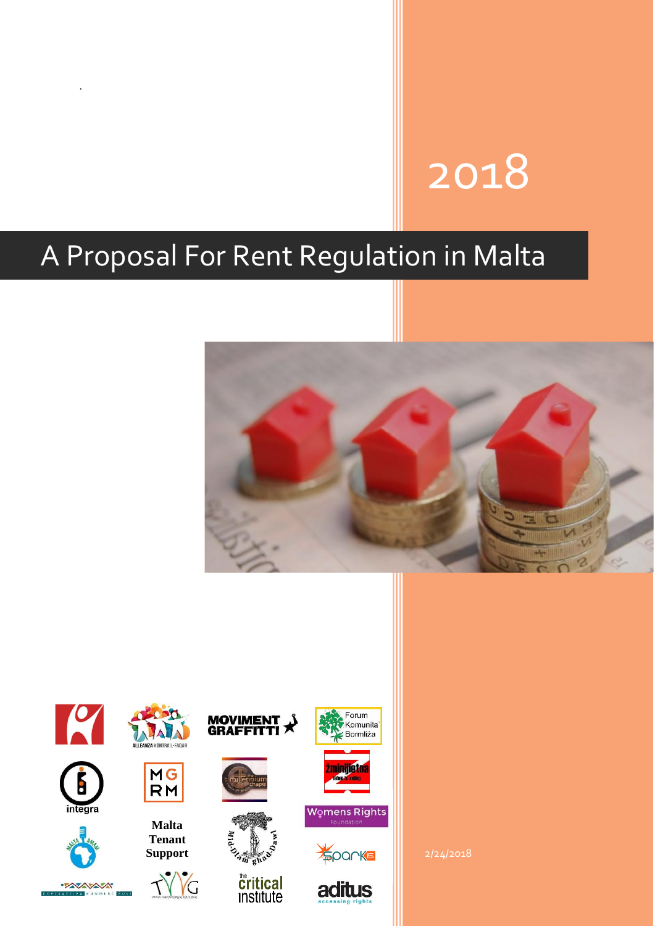# 2018

# A Proposal For Rent Regulation in Malta

.



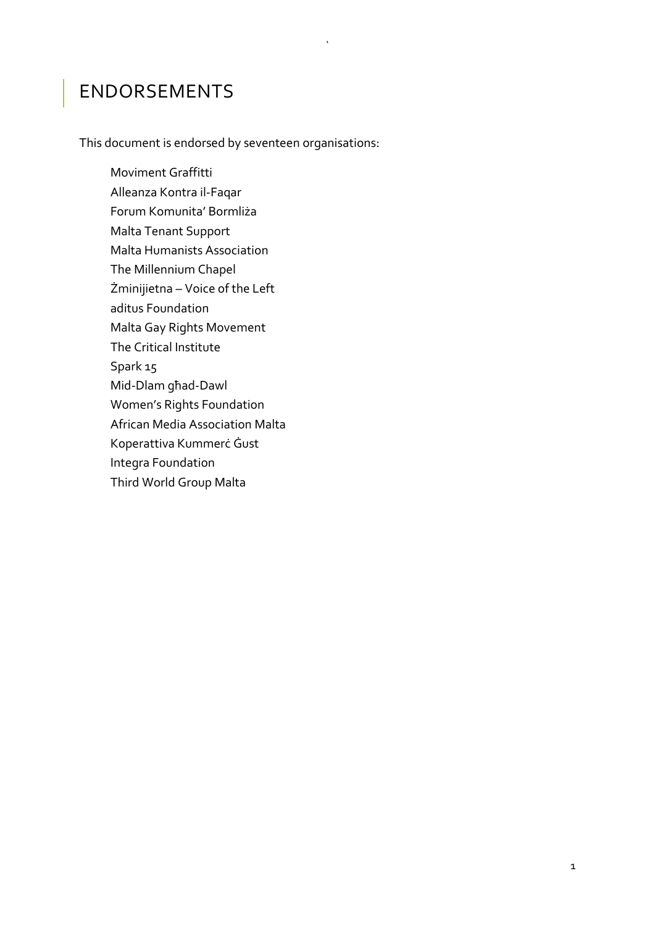#### ENDORSEMENTS

This document is endorsed by seventeen organisations:

`

Moviment Graffitti Alleanza Kontra il-Faqar Forum Komunita' Bormliża Malta Tenant Support Malta Humanists Association The Millennium Chapel Żminijietna – Voice of the Left aditus Foundation Malta Gay Rights Movement The Critical Institute Spark 15 Mid-Dlam għad-Dawl Women's Rights Foundation African Media Association Malta Koperattiva Kummerċ Ġust Integra Foundation Third World Group Malta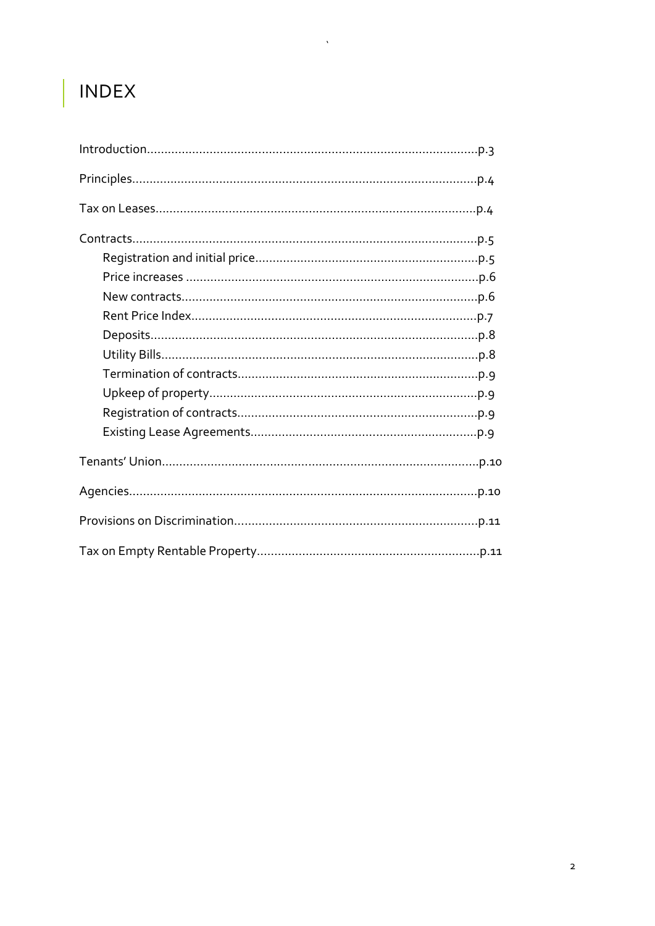# INDEX

 $\Delta \sim 10^{11}$  m  $^{-1}$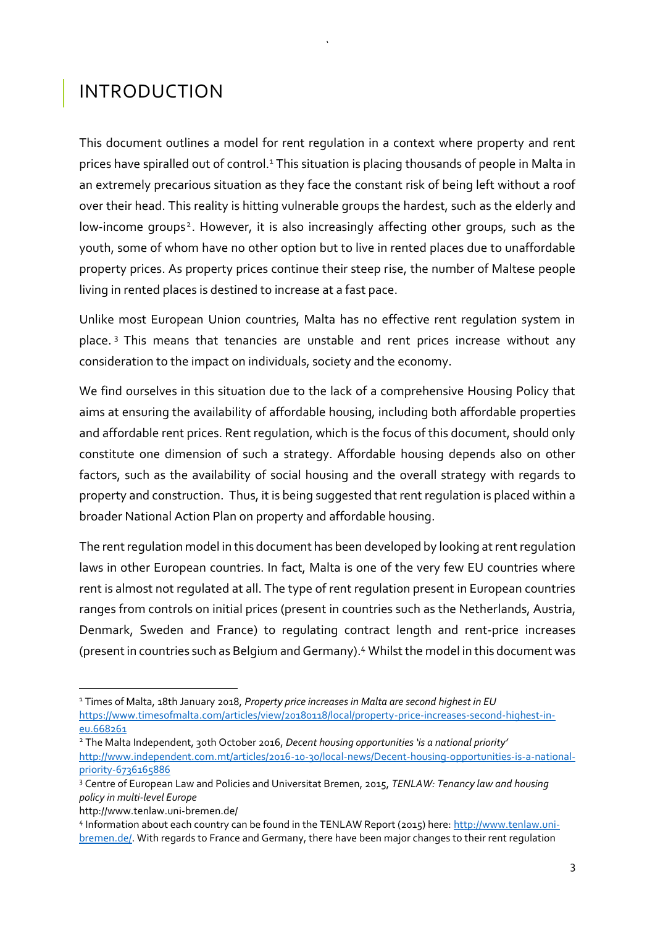#### INTRODUCTION

This document outlines a model for rent regulation in a context where property and rent prices have spiralled out of control.<sup>1</sup> This situation is placing thousands of people in Malta in an extremely precarious situation as they face the constant risk of being left without a roof over their head. This reality is hitting vulnerable groups the hardest, such as the elderly and low-income groups<sup>2</sup>. However, it is also increasingly affecting other groups, such as the youth, some of whom have no other option but to live in rented places due to unaffordable property prices. As property prices continue their steep rise, the number of Maltese people living in rented places is destined to increase at a fast pace.

`

Unlike most European Union countries, Malta has no effective rent regulation system in place. <sup>3</sup> This means that tenancies are unstable and rent prices increase without any consideration to the impact on individuals, society and the economy.

We find ourselves in this situation due to the lack of a comprehensive Housing Policy that aims at ensuring the availability of affordable housing, including both affordable properties and affordable rent prices. Rent regulation, which is the focus of this document, should only constitute one dimension of such a strategy. Affordable housing depends also on other factors, such as the availability of social housing and the overall strategy with regards to property and construction. Thus, it is being suggested that rent regulation is placed within a broader National Action Plan on property and affordable housing.

The rent regulation model in this document has been developed by looking at rent regulation laws in other European countries. In fact, Malta is one of the very few EU countries where rent is almost not regulated at all. The type of rent regulation present in European countries ranges from controls on initial prices (present in countries such as the Netherlands, Austria, Denmark, Sweden and France) to regulating contract length and rent-price increases (present in countries such as Belgium and Germany).<sup>4</sup> Whilst the model in this document was

<http://www.tenlaw.uni-bremen.de/>

1

<sup>1</sup> Times of Malta, 18th January 2018, *Property price increases in Malta are second highest in EU* [https://www.timesofmalta.com/articles/view/20180118/local/property-price-increases-second-highest-in](https://www.timesofmalta.com/articles/view/20180118/local/property-price-increases-second-highest-in-eu.668261)[eu.668261](https://www.timesofmalta.com/articles/view/20180118/local/property-price-increases-second-highest-in-eu.668261)

<sup>2</sup> The Malta Independent, 30th October 2016, *Decent housing opportunities 'is a national priority'* [http://www.independent.com.mt/articles/2016-10-30/local-news/Decent-housing-opportunities-is-a-national](http://www.independent.com.mt/articles/2016-10-30/local-news/Decent-housing-opportunities-is-a-national-priority-6736165886)[priority-6736165886](http://www.independent.com.mt/articles/2016-10-30/local-news/Decent-housing-opportunities-is-a-national-priority-6736165886)

<sup>3</sup> Centre of European Law and Policies and Universitat Bremen, 2015, *TENLAW: Tenancy law and housing policy in multi-level Europe*

<sup>4</sup> Information about each country can be found in the TENLAW Report (2015) here[: http://www.tenlaw.uni](http://www.tenlaw.uni-bremen.de/)[bremen.de/.](http://www.tenlaw.uni-bremen.de/) With regards to France and Germany, there have been major changes to their rent regulation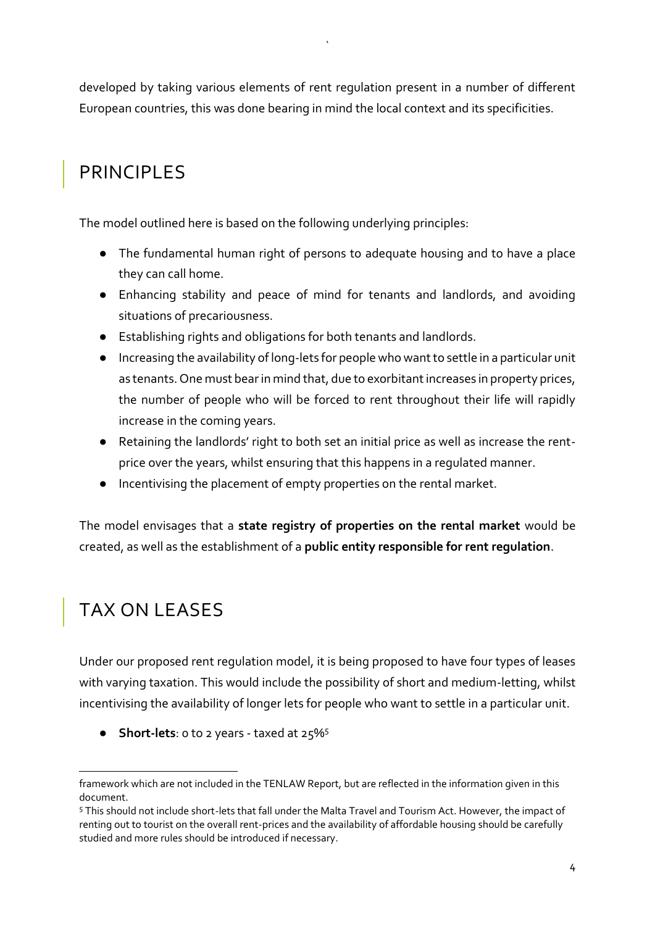developed by taking various elements of rent regulation present in a number of different European countries, this was done bearing in mind the local context and its specificities.

`

### PRINCIPLES

The model outlined here is based on the following underlying principles:

- The fundamental human right of persons to adequate housing and to have a place they can call home.
- Enhancing stability and peace of mind for tenants and landlords, and avoiding situations of precariousness.
- Establishing rights and obligations for both tenants and landlords.
- Increasing the availability of long-lets for people who want to settle in a particular unit as tenants. One must bear in mind that, due to exorbitant increases in property prices, the number of people who will be forced to rent throughout their life will rapidly increase in the coming years.
- Retaining the landlords' right to both set an initial price as well as increase the rentprice over the years, whilst ensuring that this happens in a regulated manner.
- Incentivising the placement of empty properties on the rental market.

The model envisages that a **state registry of properties on the rental market** would be created, as well as the establishment of a **public entity responsible for rent regulation**.

## TAX ON LEASES

**.** 

Under our proposed rent regulation model, it is being proposed to have four types of leases with varying taxation. This would include the possibility of short and medium-letting, whilst incentivising the availability of longer lets for people who want to settle in a particular unit.

● **Short-lets**: 0 to 2 years - taxed at 25%<sup>5</sup>

framework which are not included in the TENLAW Report, but are reflected in the information given in this document.

<sup>5</sup> This should not include short-lets that fall under the Malta Travel and Tourism Act. However, the impact of renting out to tourist on the overall rent-prices and the availability of affordable housing should be carefully studied and more rules should be introduced if necessary.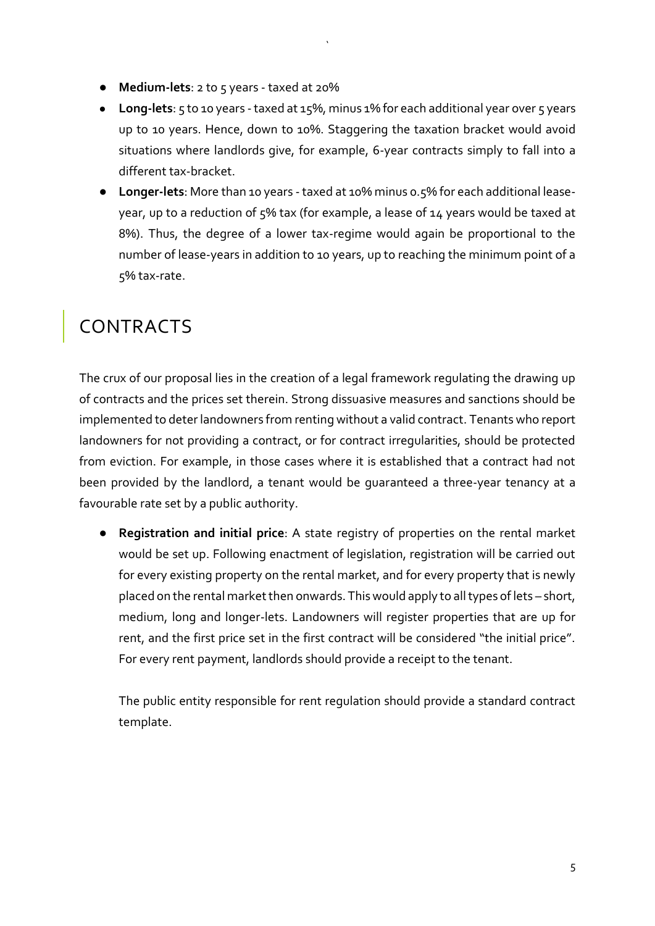- **Medium-lets**: 2 to 5 years taxed at 20%
- Long-lets: 5 to 10 years taxed at 15%, minus 1% for each additional year over 5 years up to 10 years. Hence, down to 10%. Staggering the taxation bracket would avoid situations where landlords give, for example, 6-year contracts simply to fall into a different tax-bracket.

`

● **Longer-lets**: More than 10 years - taxed at 10% minus 0.5% for each additional leaseyear, up to a reduction of 5% tax (for example, a lease of 14 years would be taxed at 8%). Thus, the degree of a lower tax-regime would again be proportional to the number of lease-years in addition to 10 years, up to reaching the minimum point of a 5% tax-rate.

#### **CONTRACTS**

The crux of our proposal lies in the creation of a legal framework regulating the drawing up of contracts and the prices set therein. Strong dissuasive measures and sanctions should be implemented to deter landowners from renting without a valid contract. Tenants who report landowners for not providing a contract, or for contract irregularities, should be protected from eviction. For example, in those cases where it is established that a contract had not been provided by the landlord, a tenant would be guaranteed a three-year tenancy at a favourable rate set by a public authority.

● **Registration and initial price**: A state registry of properties on the rental market would be set up. Following enactment of legislation, registration will be carried out for every existing property on the rental market, and for every property that is newly placed on the rental market then onwards. This would apply to all types of lets – short, medium, long and longer-lets. Landowners will register properties that are up for rent, and the first price set in the first contract will be considered "the initial price". For every rent payment, landlords should provide a receipt to the tenant.

The public entity responsible for rent regulation should provide a standard contract template.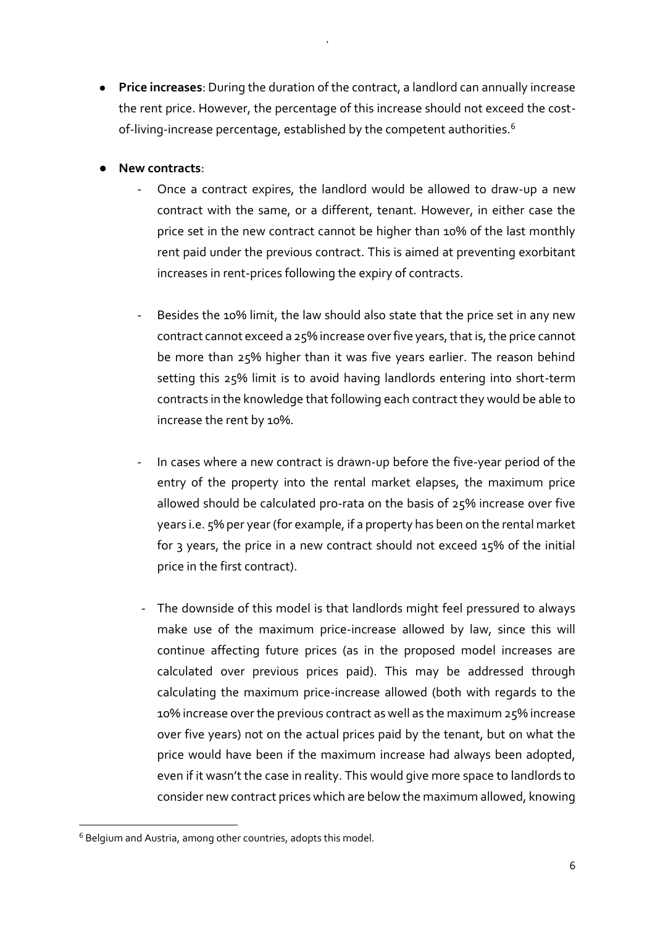● **Price increases**: During the duration of the contract, a landlord can annually increase the rent price. However, the percentage of this increase should not exceed the costof-living-increase percentage, established by the competent authorities.<sup>6</sup>

`

- **New contracts**:
	- Once a contract expires, the landlord would be allowed to draw-up a new contract with the same, or a different, tenant. However, in either case the price set in the new contract cannot be higher than 10% of the last monthly rent paid under the previous contract. This is aimed at preventing exorbitant increases in rent-prices following the expiry of contracts.
	- Besides the 10% limit, the law should also state that the price set in any new contract cannot exceed a 25% increase over five years, that is, the price cannot be more than 25% higher than it was five years earlier. The reason behind setting this 25% limit is to avoid having landlords entering into short-term contracts in the knowledge that following each contract they would be able to increase the rent by 10%.
	- In cases where a new contract is drawn-up before the five-year period of the entry of the property into the rental market elapses, the maximum price allowed should be calculated pro-rata on the basis of 25% increase over five years i.e. 5% per year (for example, if a property has been on the rental market for 3 years, the price in a new contract should not exceed 15% of the initial price in the first contract).
	- The downside of this model is that landlords might feel pressured to always make use of the maximum price-increase allowed by law, since this will continue affecting future prices (as in the proposed model increases are calculated over previous prices paid). This may be addressed through calculating the maximum price-increase allowed (both with regards to the 10% increase over the previous contract as well as the maximum 25% increase over five years) not on the actual prices paid by the tenant, but on what the price would have been if the maximum increase had always been adopted, even if it wasn't the case in reality. This would give more space to landlords to consider new contract prices which are below the maximum allowed, knowing

1

<sup>6</sup> Belgium and Austria, among other countries, adopts this model.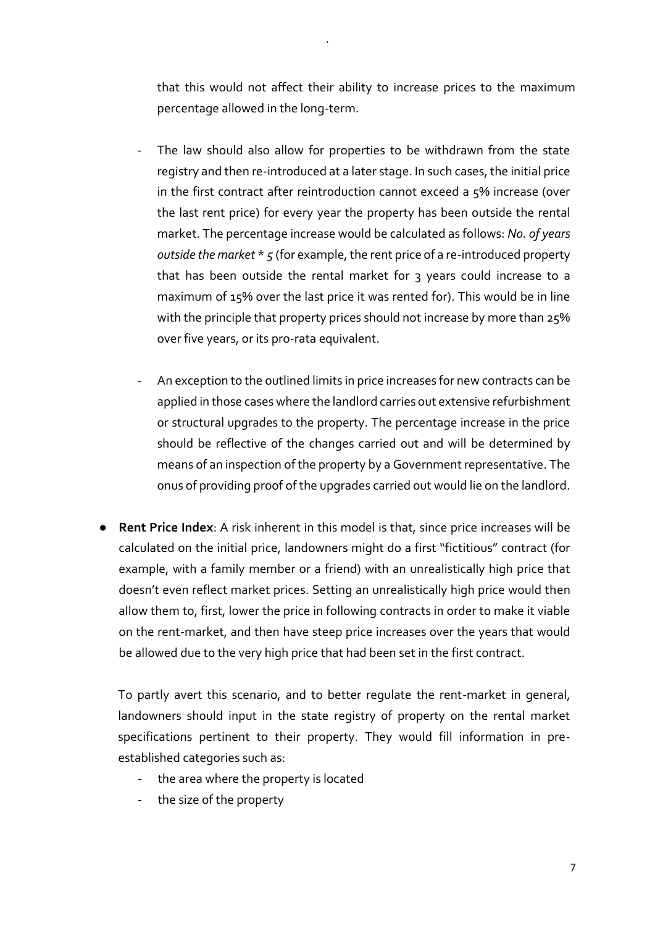that this would not affect their ability to increase prices to the maximum percentage allowed in the long-term.

`

- The law should also allow for properties to be withdrawn from the state registry and then re-introduced at a later stage. In such cases, the initial price in the first contract after reintroduction cannot exceed a 5% increase (over the last rent price) for every year the property has been outside the rental market. The percentage increase would be calculated as follows: *No. of years outside the market* \* *5* (for example, the rent price of a re-introduced property that has been outside the rental market for 3 years could increase to a maximum of 15% over the last price it was rented for). This would be in line with the principle that property prices should not increase by more than 25% over five years, or its pro-rata equivalent.
- An exception to the outlined limits in price increases for new contracts can be applied in those cases where the landlord carries out extensive refurbishment or structural upgrades to the property. The percentage increase in the price should be reflective of the changes carried out and will be determined by means of an inspection of the property by a Government representative. The onus of providing proof of the upgrades carried out would lie on the landlord.
- **Rent Price Index**: A risk inherent in this model is that, since price increases will be calculated on the initial price, landowners might do a first "fictitious" contract (for example, with a family member or a friend) with an unrealistically high price that doesn't even reflect market prices. Setting an unrealistically high price would then allow them to, first, lower the price in following contracts in order to make it viable on the rent-market, and then have steep price increases over the years that would be allowed due to the very high price that had been set in the first contract.

To partly avert this scenario, and to better regulate the rent-market in general, landowners should input in the state registry of property on the rental market specifications pertinent to their property. They would fill information in preestablished categories such as:

- the area where the property is located
- the size of the property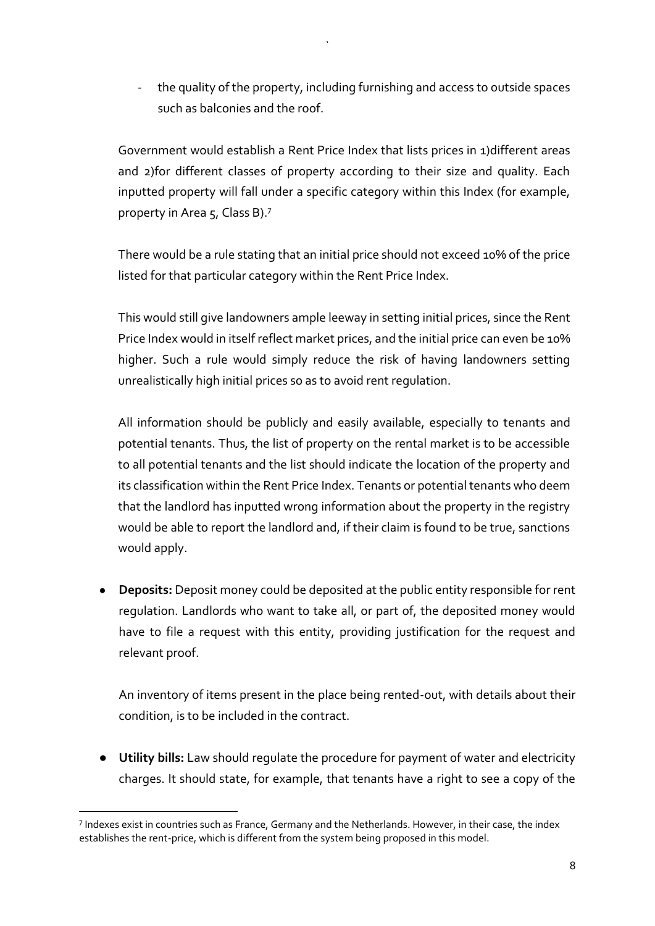the quality of the property, including furnishing and access to outside spaces such as balconies and the roof.

`

Government would establish a Rent Price Index that lists prices in 1)different areas and 2)for different classes of property according to their size and quality. Each inputted property will fall under a specific category within this Index (for example, property in Area 5, Class B).<sup>7</sup>

There would be a rule stating that an initial price should not exceed 10% of the price listed for that particular category within the Rent Price Index.

This would still give landowners ample leeway in setting initial prices, since the Rent Price Index would in itself reflect market prices, and the initial price can even be 10% higher. Such a rule would simply reduce the risk of having landowners setting unrealistically high initial prices so as to avoid rent regulation.

All information should be publicly and easily available, especially to tenants and potential tenants. Thus, the list of property on the rental market is to be accessible to all potential tenants and the list should indicate the location of the property and its classification within the Rent Price Index. Tenants or potential tenants who deem that the landlord has inputted wrong information about the property in the registry would be able to report the landlord and, if their claim is found to be true, sanctions would apply.

● **Deposits:** Deposit money could be deposited at the public entity responsible for rent regulation. Landlords who want to take all, or part of, the deposited money would have to file a request with this entity, providing justification for the request and relevant proof.

An inventory of items present in the place being rented-out, with details about their condition, is to be included in the contract.

● **Utility bills:** Law should regulate the procedure for payment of water and electricity charges. It should state, for example, that tenants have a right to see a copy of the

1

<sup>&</sup>lt;sup>7</sup> Indexes exist in countries such as France, Germany and the Netherlands. However, in their case, the index establishes the rent-price, which is different from the system being proposed in this model.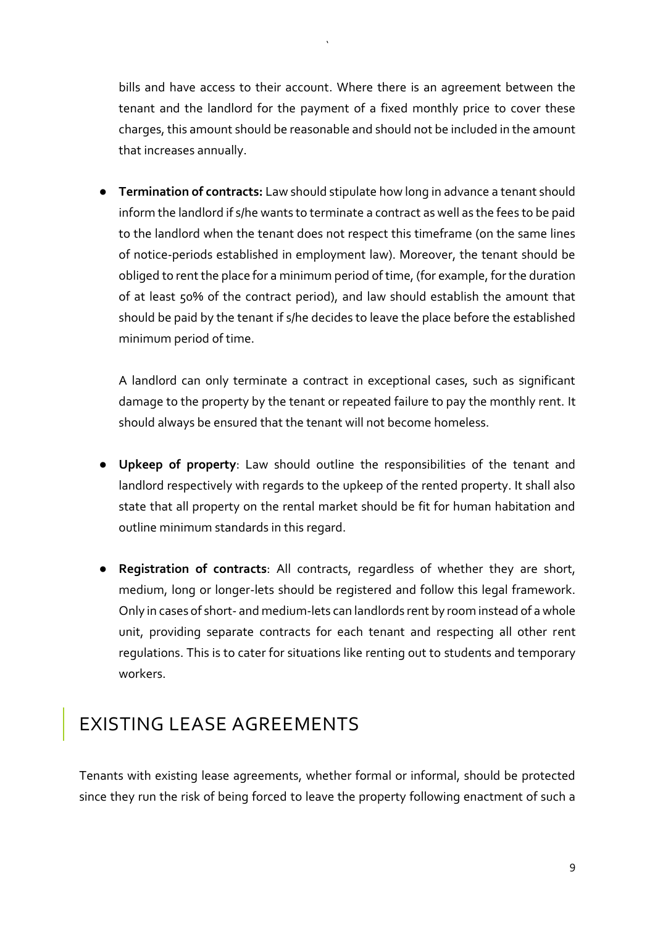bills and have access to their account. Where there is an agreement between the tenant and the landlord for the payment of a fixed monthly price to cover these charges, this amount should be reasonable and should not be included in the amount that increases annually.

`

● **Termination of contracts:** Law should stipulate how long in advance a tenant should inform the landlord if s/he wants to terminate a contract as well as the fees to be paid to the landlord when the tenant does not respect this timeframe (on the same lines of notice-periods established in employment law). Moreover, the tenant should be obliged to rent the place for a minimum period of time, (for example, for the duration of at least 50% of the contract period), and law should establish the amount that should be paid by the tenant if s/he decides to leave the place before the established minimum period of time.

A landlord can only terminate a contract in exceptional cases, such as significant damage to the property by the tenant or repeated failure to pay the monthly rent. It should always be ensured that the tenant will not become homeless.

- **Upkeep of property**: Law should outline the responsibilities of the tenant and landlord respectively with regards to the upkeep of the rented property. It shall also state that all property on the rental market should be fit for human habitation and outline minimum standards in this regard.
- **Registration of contracts**: All contracts, regardless of whether they are short, medium, long or longer-lets should be registered and follow this legal framework. Only in cases of short- and medium-lets can landlords rent by room instead of a whole unit, providing separate contracts for each tenant and respecting all other rent regulations. This is to cater for situations like renting out to students and temporary workers.

#### EXISTING LEASE AGREEMENTS

Tenants with existing lease agreements, whether formal or informal, should be protected since they run the risk of being forced to leave the property following enactment of such a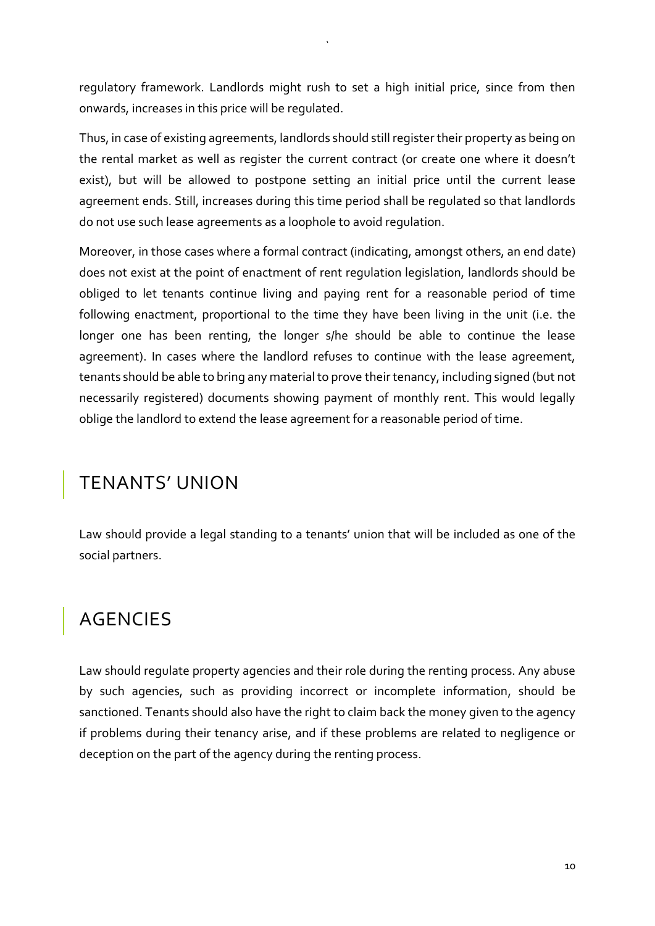regulatory framework. Landlords might rush to set a high initial price, since from then onwards, increases in this price will be regulated.

`

Thus, in case of existing agreements, landlords should still register their property as being on the rental market as well as register the current contract (or create one where it doesn't exist), but will be allowed to postpone setting an initial price until the current lease agreement ends. Still, increases during this time period shall be regulated so that landlords do not use such lease agreements as a loophole to avoid regulation.

Moreover, in those cases where a formal contract (indicating, amongst others, an end date) does not exist at the point of enactment of rent regulation legislation, landlords should be obliged to let tenants continue living and paying rent for a reasonable period of time following enactment, proportional to the time they have been living in the unit (i.e. the longer one has been renting, the longer s/he should be able to continue the lease agreement). In cases where the landlord refuses to continue with the lease agreement, tenants should be able to bring any material to prove their tenancy, including signed (but not necessarily registered) documents showing payment of monthly rent. This would legally oblige the landlord to extend the lease agreement for a reasonable period of time.

#### TENANTS' UNION

Law should provide a legal standing to a tenants' union that will be included as one of the social partners.

#### AGENCIES

Law should regulate property agencies and their role during the renting process. Any abuse by such agencies, such as providing incorrect or incomplete information, should be sanctioned. Tenants should also have the right to claim back the money given to the agency if problems during their tenancy arise, and if these problems are related to negligence or deception on the part of the agency during the renting process.